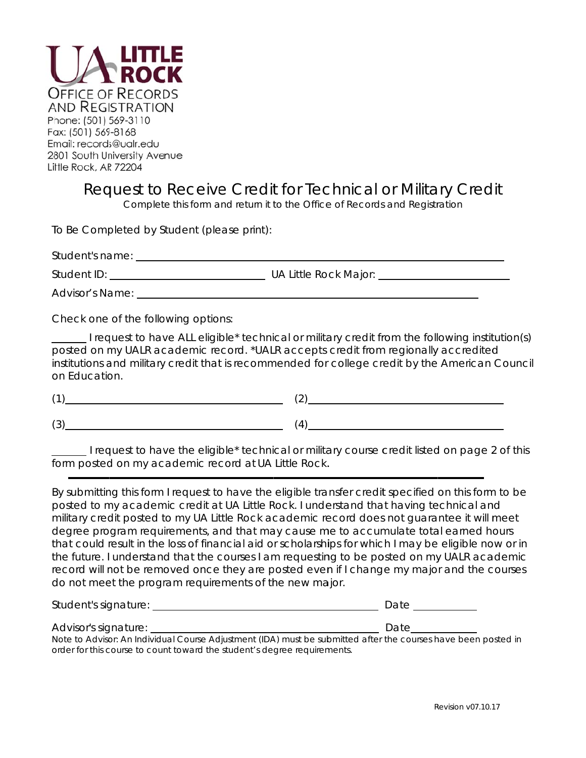

## Request to Receive Credit for Technical or Military Credit

Complete this form and return it to the Office of Records and Registration

To Be Completed by Student (please print):

Advisor's Name:

Check one of the following options:

I request to have ALL eligible<sup>\*</sup> technical or military credit from the following institution(s) posted on my UALR academic record. \*UALR accepts credit from regionally accredited institutions and military credit that is recommended for college credit by the American Council on Education

 $(3)$   $(4)$ 

I request to have the eligible<sup>\*</sup> technical or military course credit listed on page 2 of this form posted on my academic record at UA Little Rock.

By submitting this form I request to have the eligible transfer credit specified on this form to be posted to my academic credit at UA Little Rock. I understand that having technical and military credit posted to my UA Little Rock academic record does not quarantee it will meet degree program requirements, and that may cause me to accumulate total earned hours that could result in the loss of financial aid or scholarships for which I may be eligible now or in the future. I understand that the courses I am requesting to be posted on my UALR academic record will not be removed once they are posted even if I change my major and the courses do not meet the program requirements of the new major.

| Student's signature: |  |  |
|----------------------|--|--|
|                      |  |  |

order for this course to count toward the student's degree requirements.

Advisor's signature: Note to Advisor: An Individual Course Adjustment (IDA) must be submitted after the courses have been posted in

Date by Date by Date

Revision v07.10.17